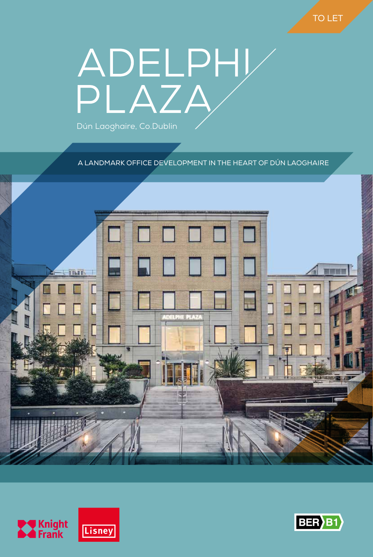# ADELPHI Dún Laoghaire, Co.Dublin

A LANDMARK OFFICE DEVELOPMENT IN THE HEART OF DÚN LAOGHAIRE





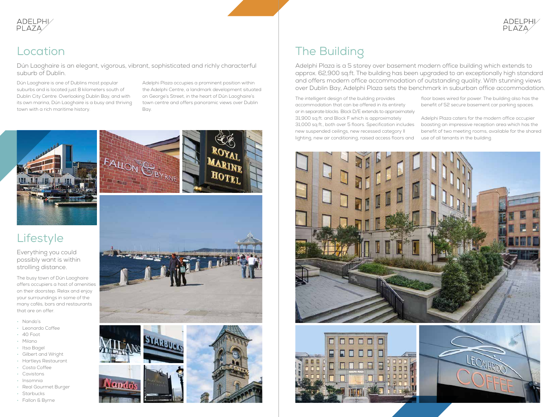The intelligent design of the building provides accommodation that can be offered in its entirety or in separate blocks. Block D/E extends to approximately 31,900 sq.ft. and Block F which is approximately 31,000 sq.ft., both over 5 floors. Specification includes new suspended ceilings, new recessed category II lighting, new air conditioning, raised access floors and floor boxes wired for power. The building also has the benefit of 52 secure basement car parking spaces. Adelphi Plaza caters for the modern office occupier boasting an impressive reception area which has the benefit of two meeting rooms, available for the shared use of all tenants in the building.







Adelphi Plaza is a 5 storey over basement modern office building which extends to approx. 62,900 sq.ft. The building has been upgraded to an exceptionally high standard and offers modern office accommodation of outstanding quality. With stunning views over Dublin Bay, Adelphi Plaza sets the benchmark in suburban office accommodation.



Dún Laoghaire is an elegant, vigorous, vibrant, sophisticated and richly characterful suburb of Dublin.



Dún Laoghaire is one of Dublins most popular suburbs and is located just 8 kilometers south of Dublin City Centre. Overlooking Dublin Bay, and with its own marina, Dún Laoghaire is a busy and thriving town with a rich maritime history.

Adelphi Plaza occupies a prominent position within the Adelphi Centre, a landmark development situated on George's Street, in the heart of Dún Laoghaire's town centre and offers panoramic views over Dublin Bay.





# **Lifestyle**

Everything you could possibly want is within strolling distance.

The busy town of Dún Laoghaire offers occupiers a host of amenities on their doorstep. Relax and enjoy your surroundings in some of the many cafés, bars and restaurants that are on offer.

- Nando's
- Leonardo Coffee
- 40 Foot
- Milano
- Itsa Bagel
- Gilbert and Wright
- Hartleys Restaurant
- Costa Coffee
- Cavistons
- Insomnia • Real Gourmet Burger
- Starbucks
- Fallon & Byrne



ando: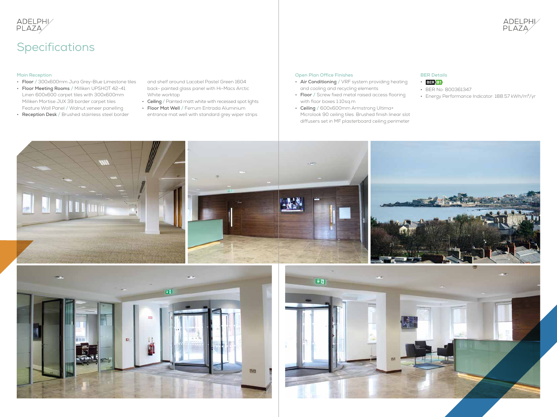#### **Main Reception**

- **Floor /** 300x600mm Jura Grey-Blue Limestone tiles
- **Floor Meeting Rooms /** Milliken UPSHOT 42-41 Linen 600x600 carpet tiles with 300x600mm Milliken Mortise JUX 39 border carpet tiles Feature Wall Panel **/** Walnut veneer panelling
- **Reception Desk /** Brushed stainless steel border

and shelf around Lacobel Pastel Green 1604 back- painted glass panel with Hi-Macs Arctic White worktop

- **Ceiling /** Painted matt white with recessed spot lights
- **Floor Mat Well /** Ferrum Entrada Aluminium entrance mat well with standard grey wiper strips

# ADELPHI/<br>PLAZA/

# Specifications

#### **Open Plan Office Finishes**

- **Air Conditioning /** VRF system providing heating and cooling and recycling elements
- **Floor /** Screw fixed metal raised access flooring with floor boxes 1:10sq.m
- **Ceiling /** 600x600mm Armstrong Ultima+ Microlook 90 ceiling tiles. Brushed finish linear slot diffusers set in MF plasterboard ceiling perimeter





#### **BER Details**

#### • **BER** B1

- **•** BER No: 800361347
- **•** Energy Performance Indicator: 188.57 kWh/m²/yr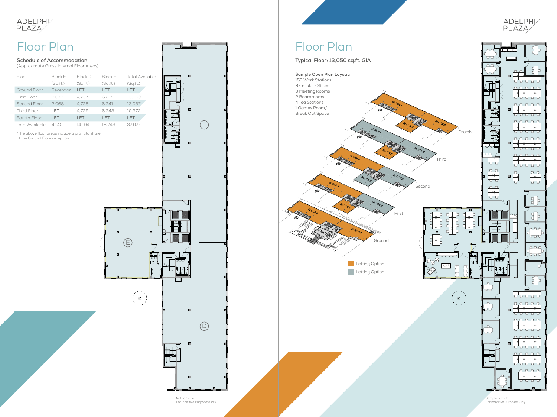#### **Schedule of Accommodation**

(Approximate Gross Internal Floor Areas)

## Floor Plan

\*The above floor areas include a pro rata share of the Ground Floor reception



| Floor           | Block F   | Block D   | Block F   | Total Availab |
|-----------------|-----------|-----------|-----------|---------------|
|                 | (Sq.fit.) | (Sq.fit.) | (Sq.fit.) | (Sq.fit.)     |
| Ground Floor    | Reception | I FT      | I FT      | LET           |
| First Floor     | 2.072     | 4.737     | 6.259     | 13.068        |
| Second Floor    | 2.068     | 4.728     | 6.241     | 13,037        |
| Third Floor     | I FT      | 4.729     | 6.243     | 10.972        |
| Fourth Floor    | I FT      | I FT      | I FT      | <b>IFT</b>    |
| Total Available | 4.140     | 14.194    | 18.743    | 37,077        |
|                 |           |           |           |               |



E

 $\left( -z\right)$ 

 $\blacksquare$